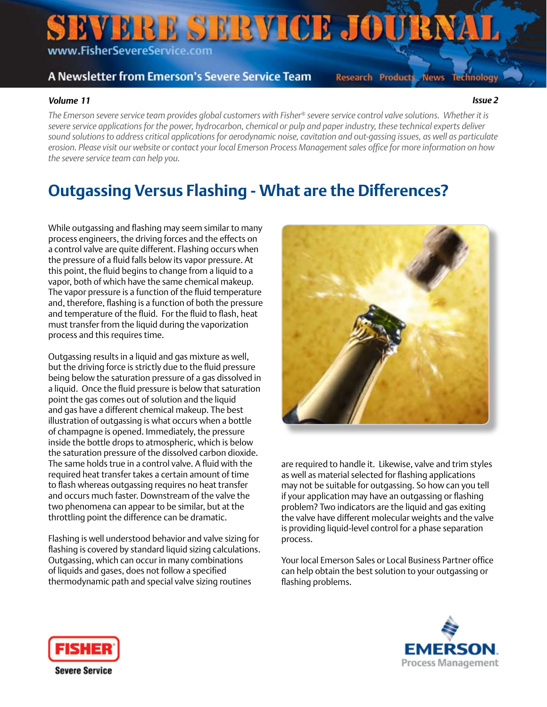# EVERE SERVICE JOURNAL www.FisherSevereService.com

#### A Newsletter from Emerson's Severe Service Team

**Research Products News Technology** 

#### *Volume 11 Issue 2*

*The Emerson severe service team provides global customers with Fisher® severe service control valve solutions. Whether it is severe service applications for the power, hydrocarbon, chemical or pulp and paper industry, these technical experts deliver sound solutions to address critical applications for aerodynamic noise, cavitation and out-gassing issues, as well as particulate erosion. Please visit our website or contact your local Emerson Process Management sales office for more information on how the severe service team can help you.*

#### **Outgassing Versus Flashing - What are the Differences?**

While outgassing and flashing may seem similar to many process engineers, the driving forces and the effects on a control valve are quite different. Flashing occurs when the pressure of a fluid falls below its vapor pressure. At this point, the fluid begins to change from a liquid to a vapor, both of which have the same chemical makeup. The vapor pressure is a function of the fluid temperature and, therefore, flashing is a function of both the pressure and temperature of the fluid. For the fluid to flash, heat must transfer from the liquid during the vaporization process and this requires time.

Outgassing results in a liquid and gas mixture as well, but the driving force is strictly due to the fluid pressure being below the saturation pressure of a gas dissolved in a liquid. Once the fluid pressure is below that saturation point the gas comes out of solution and the liquid and gas have a different chemical makeup. The best illustration of outgassing is what occurs when a bottle of champagne is opened. Immediately, the pressure inside the bottle drops to atmospheric, which is below the saturation pressure of the dissolved carbon dioxide. The same holds true in a control valve. A fluid with the required heat transfer takes a certain amount of time to flash whereas outgassing requires no heat transfer and occurs much faster. Downstream of the valve the two phenomena can appear to be similar, but at the throttling point the difference can be dramatic.

Flashing is well understood behavior and valve sizing for flashing is covered by standard liquid sizing calculations. Outgassing, which can occur in many combinations of liquids and gases, does not follow a specified thermodynamic path and special valve sizing routines



are required to handle it. Likewise, valve and trim styles as well as material selected for flashing applications may not be suitable for outgassing. So how can you tell if your application may have an outgassing or flashing problem? Two indicators are the liquid and gas exiting the valve have different molecular weights and the valve is providing liquid-level control for a phase separation process.

Your local Emerson Sales or Local Business Partner office can help obtain the best solution to your outgassing or flashing problems.



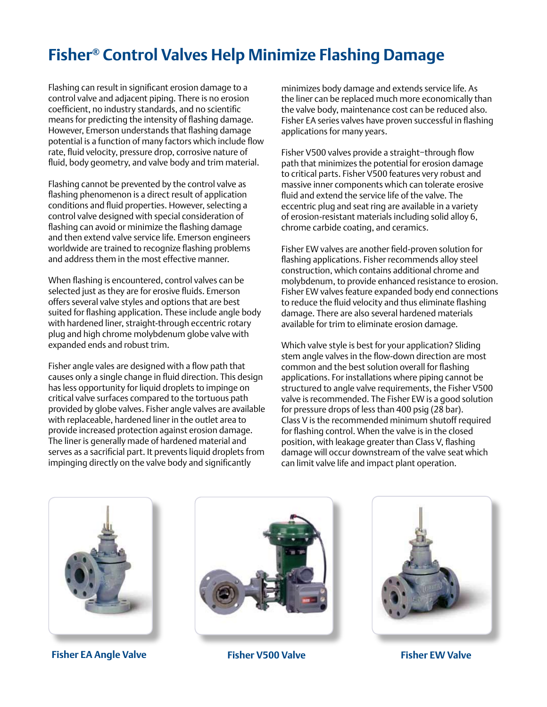## **Fisher® Control Valves Help Minimize Flashing Damage**

Flashing can result in significant erosion damage to a control valve and adjacent piping. There is no erosion coefficient, no industry standards, and no scientific means for predicting the intensity of flashing damage. However, Emerson understands that flashing damage potential is a function of many factors which include flow rate, fluid velocity, pressure drop, corrosive nature of fluid, body geometry, and valve body and trim material.

Flashing cannot be prevented by the control valve as flashing phenomenon is a direct result of application conditions and fluid properties. However, selecting a control valve designed with special consideration of flashing can avoid or minimize the flashing damage and then extend valve service life. Emerson engineers worldwide are trained to recognize flashing problems and address them in the most effective manner.

When flashing is encountered, control valves can be selected just as they are for erosive fluids. Emerson offers several valve styles and options that are best suited for flashing application. These include angle body with hardened liner, straight-through eccentric rotary plug and high chrome molybdenum globe valve with expanded ends and robust trim.

Fisher angle vales are designed with a flow path that causes only a single change in fluid direction. This design has less opportunity for liquid droplets to impinge on critical valve surfaces compared to the tortuous path provided by globe valves. Fisher angle valves are available with replaceable, hardened liner in the outlet area to provide increased protection against erosion damage. The liner is generally made of hardened material and serves as a sacrificial part. It prevents liquid droplets from impinging directly on the valve body and significantly

minimizes body damage and extends service life. As the liner can be replaced much more economically than the valve body, maintenance cost can be reduced also. Fisher EA series valves have proven successful in flashing applications for many years.

Fisher V500 valves provide a straight−through flow path that minimizes the potential for erosion damage to critical parts. Fisher V500 features very robust and massive inner components which can tolerate erosive fluid and extend the service life of the valve. The eccentric plug and seat ring are available in a variety of erosion-resistant materials including solid alloy 6, chrome carbide coating, and ceramics.

Fisher EW valves are another field-proven solution for flashing applications. Fisher recommends alloy steel construction, which contains additional chrome and molybdenum, to provide enhanced resistance to erosion. Fisher EW valves feature expanded body end connections to reduce the fluid velocity and thus eliminate flashing damage. There are also several hardened materials available for trim to eliminate erosion damage.

Which valve style is best for your application? Sliding stem angle valves in the flow-down direction are most common and the best solution overall for flashing applications. For installations where piping cannot be structured to angle valve requirements, the Fisher V500 valve is recommended. The Fisher EW is a good solution for pressure drops of less than 400 psig (28 bar). Class V is the recommended minimum shutoff required for flashing control. When the valve is in the closed position, with leakage greater than Class V, flashing damage will occur downstream of the valve seat which can limit valve life and impact plant operation.



**Fisher EA Angle Valve Fisher V500 Valve Fisher EW Valve**

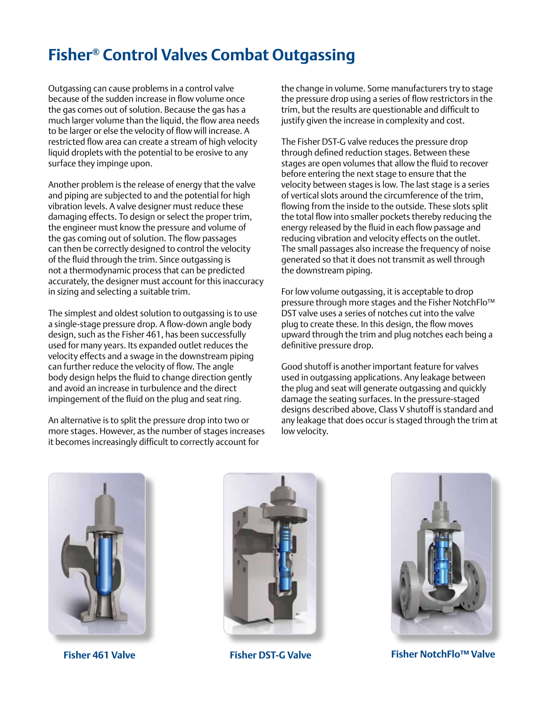## **Fisher® Control Valves Combat Outgassing**

Outgassing can cause problems in a control valve because of the sudden increase in flow volume once the gas comes out of solution. Because the gas has a much larger volume than the liquid, the flow area needs to be larger or else the velocity of flow will increase. A restricted flow area can create a stream of high velocity liquid droplets with the potential to be erosive to any surface they impinge upon.

Another problem is the release of energy that the valve and piping are subjected to and the potential for high vibration levels. A valve designer must reduce these damaging effects. To design or select the proper trim, the engineer must know the pressure and volume of the gas coming out of solution. The flow passages can then be correctly designed to control the velocity of the fluid through the trim. Since outgassing is not a thermodynamic process that can be predicted accurately, the designer must account for this inaccuracy in sizing and selecting a suitable trim.

The simplest and oldest solution to outgassing is to use a single-stage pressure drop. A flow-down angle body design, such as the Fisher 461, has been successfully used for many years. Its expanded outlet reduces the velocity effects and a swage in the downstream piping can further reduce the velocity of flow. The angle body design helps the fluid to change direction gently and avoid an increase in turbulence and the direct impingement of the fluid on the plug and seat ring.

An alternative is to split the pressure drop into two or more stages. However, as the number of stages increases it becomes increasingly difficult to correctly account for

the change in volume. Some manufacturers try to stage the pressure drop using a series of flow restrictors in the trim, but the results are questionable and difficult to justify given the increase in complexity and cost.

The Fisher DST-G valve reduces the pressure drop through defined reduction stages. Between these stages are open volumes that allow the fluid to recover before entering the next stage to ensure that the velocity between stages is low. The last stage is a series of vertical slots around the circumference of the trim, flowing from the inside to the outside. These slots split the total flow into smaller pockets thereby reducing the energy released by the fluid in each flow passage and reducing vibration and velocity effects on the outlet. The small passages also increase the frequency of noise generated so that it does not transmit as well through the downstream piping.

For low volume outgassing, it is acceptable to drop pressure through more stages and the Fisher NotchFlo™ DST valve uses a series of notches cut into the valve plug to create these. In this design, the flow moves upward through the trim and plug notches each being a definitive pressure drop.

Good shutoff is another important feature for valves used in outgassing applications. Any leakage between the plug and seat will generate outgassing and quickly damage the seating surfaces. In the pressure-staged designs described above, Class V shutoff is standard and any leakage that does occur is staged through the trim at low velocity.







**Fisher 461 Valve Fisher DST-G Valve Fisher NotchFlo™ Valve**